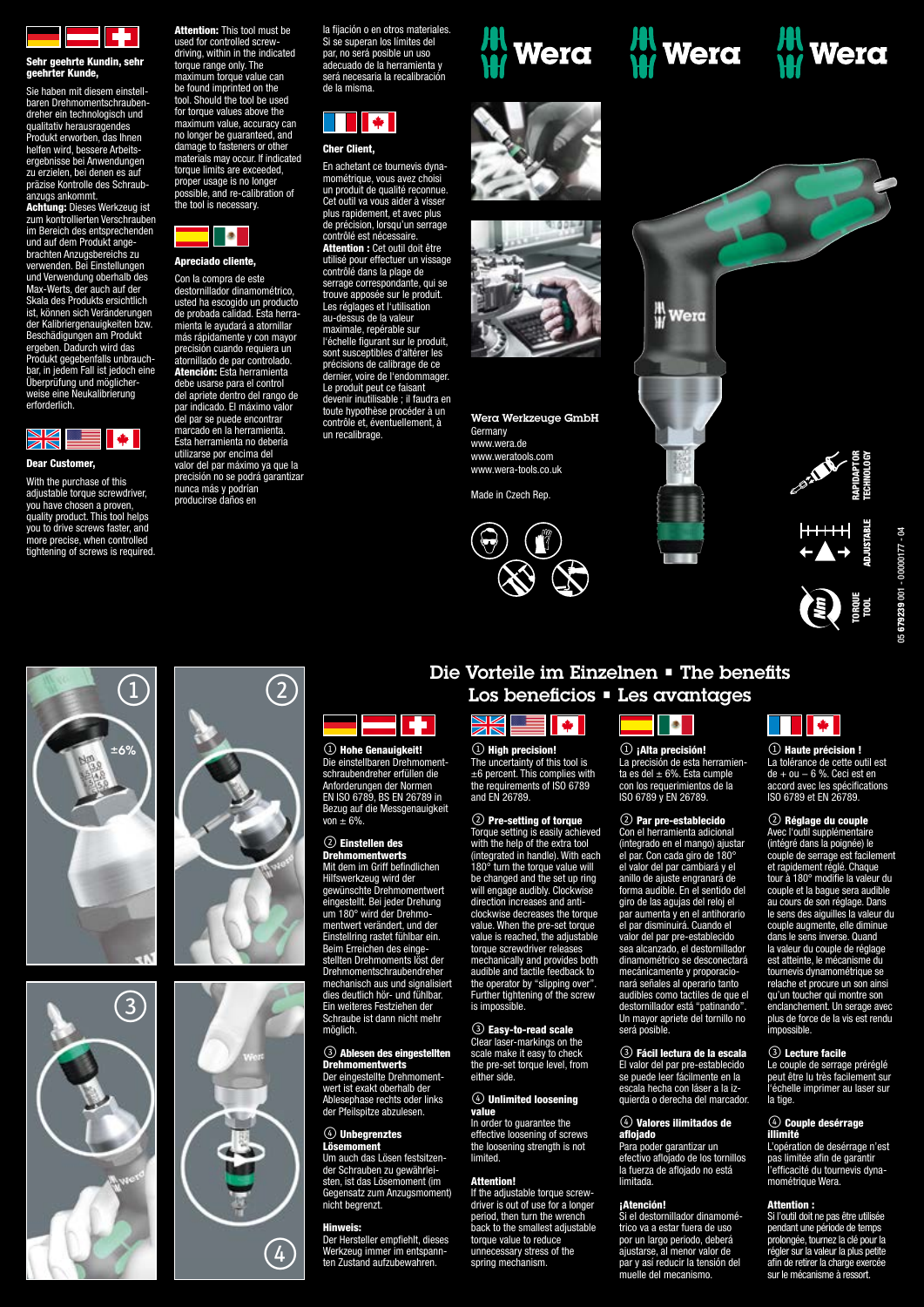

# Sehr geehrte Kundin, sehr geehrter Kunde,

Sie haben mit diesem einstellbaren Drehmomentschraubendreher ein technologisch und qualitativ herausragendes Produkt erworben, das Ihnen helfen wird, bessere Arbeitsergebnisse bei Anwendungen zu erzielen, bei denen es auf präzise Kontrolle des Schraubanzugs ankommt.

Achtung: Dieses Werkzeug ist zum kontrollierten Verschrauben im Bereich des entsprechenden und auf dem Produkt angebrachten Anzugsbereichs zu verwenden. Bei Einstellungen und Verwendung oberhalb des Max-Werts, der auch auf der Skala des Produkts ersichtlich ist, können sich Veränderungen der Kalibriergenauigkeiten bzw. Beschädigungen am Produkt ergeben. Dadurch wird das Produkt gegebenfalls unbrauch-bar, in jedem Fall ist jedoch eine Überprüfung und möglicherweise eine Neukalibrierung erforderlich.



#### Dear Customer,

With the purchase of this adjustable torque screwdriver, you have chosen a proven, quality product. This tool helps you to drive screws faster, and more precise, when controlled tightening of screws is required. **Attention:** This tool must be used for controlled screw-driving, within in the indicated torque range only. The maximum torque value can be found imprinted on the tool. Should the tool be used for torque values above the maximum value, accuracy can no longer be guaranteed, and damage to fasteners or other materials may occur. If indicated torque limits are exceeded, proper usage is no longer possible, and re-calibration of the tool is necessary.



Apreciado cliente,

Con la compra de este destornillador dinamométrico, usted ha escogido un producto de probada calidad. Esta herranta le ayudará a atornillar más rápidamente y con mayor precisión cuando requiera un atornillado de par controlado. Atención: Esta herramienta debe usarse para el control del apriete dentro del rango de par apriore dentro del rango de del par se puede encontrar cado en la herramienta. Esta herramienta no debería utilizarse por encima del valor del par máximo ya que la precisión no se podrá garantizar nunca más y podrían producirse daños en

la fijación o en otros materiales. Si se superan los límites del par, no será posible un uso adecuado de la herramienta y será necesaria la recalibración de la misma.

# **THE**

#### Cher Client,

En achetant ce tournevis dynamométrique, vous avez choisi un produit de qualité reconnue. Cet outil va vous aider à visser plus rapidement, et avec plus de précision, lorsqu'un serrage contrôlé est nécessaire. **Attention :** Cet outil doit être utilisé pour effectuer un vissage contrôlé dans la plage de serrage correspondante, qui se trouve apposée sur le produit. Les réglages et l'utilisation au-dessus de la valeur maximale, repérable sur l'échelle figurant sur le produit, sont susceptibles d'altérer les précisions de calibrage de ce dernier, voire de l'endommager. Le produit peut ce faisant devenir inutilisable ; il faudra en toute hypothèse procéder à un contrôle et, éventuellement, à un recalibrage.

erungen der Normen

**Figure** 

Einstellring rastet fühlbar ein. Beim Erreichen des einge-stellten Drehmoments löst der Drehmomentschraubendreher mechanisch aus und signalisiert dies deutlich hör- und fühlbar. Ein weiteres Festziehen der Schraube ist dann nicht mehr

3 Ablesen des eingestellten Drehmomentwerts Der eingestellte Drehmomentwert ist exakt oberhalb der Ablesephase rechts oder links der Pfeilspitze abzulesen.  $\circledA$  Unbegrenztes **Lösemoment** 

Um auch das Lösen festsitzender Schrauben zu gewährleisten, ist das Lösemoment (im nsatz zum Anzugsmoment)

Hinweis: Der Hersteller empfiehlt, dieses Werkzeug immer im entspannten Zustand aufzubewahren.

Gegensatz zum<br>nicht begrenzt.

möglich.













Wera Werkzeuge GmbH **Germany** www.wera.de

www.weratools.com www.wera-tools.co.uk

Made in Czech Rep.



**H**<br>Wera **SPARK**<br>REAL PROPERTY ╫╫╫╫<br>←▲→  $\sum_{n=1}^{\infty}$ 





 $\Omega$  (1)  $\pm 6\%$  \  $\parallel$   $\qquad \qquad$   $\qquad$   $\qquad$   $\qquad$   $\qquad$   $\qquad$   $\qquad$   $\qquad$   $\qquad$   $\qquad$   $\qquad$   $\qquad$   $\qquad$   $\qquad$   $\qquad$   $\qquad$   $\qquad$   $\qquad$   $\qquad$   $\qquad$   $\qquad$   $\qquad$   $\qquad$   $\qquad$   $\qquad$   $\qquad$   $\qquad$   $\qquad$   $\qquad$   $\qquad$   $\qquad$   $\qquad$   $\qquad$   $\qquad$ Die einstellbaren Drehmomentschraubendreher erfüllen die EN ISO 6789, BS EN 26789 in Bezug auf die Messgenauigkeit von ± 6%. 2 Einstellen des Drehmomentwerts Mit dem im Griff befindlichen Hilfswerkzeug wird der gewünschte Drehmomentwert eingestellt. Bei jeder Drehung um 180° wird der Drehmomentwert verändert, und der



## Die Vorteile im Einzelnen • The benefits Los beneficios • Les avantages



The uncertainty of this tool is ±6 percent. This complies with the requirements of ISO 6789 and EN 26789.

#### 2 Pre-setting of torque

Torque setting is easily achieved with the help of the extra tool (integrated in handle). With each 180° turn the torque value will be changed and the set up ring will engage audibly. Clockwise direction increases and anticlockwise decreases the torque value. When the pre-set torque value is reached, the adjustable torque screwdriver releases mechanically and provides both audible and tactile feedback to the operator by "slipping over". Further tightening of the screw is impossible.

**3 Easy-to-read scale**<br>Clear laser-markings on the scale make it easy to check the pre-set torque level, from either side.

#### $\left(4\right)$  Unlimited loosening value

#### In order to guarantee the effective loosening of screws the loosening strength is not **limited**

Attention!

If the adjustable torque screwdriver is out of use for a longer period, then turn the wrench back to the smallest adjustable torque value to reduce unnecessary stress of the spring mechanism



 $\circledR$  ¡Alta precisión! La precisión de esta herramienta es del  $\pm$  6%. Esta cumple con los requerimientos de la ISO 6789 y EN 26789.

#### 2 Par pre-establecido

Con el herramienta adicional (integrado en el mango) ajustar el par. Con cada giro de 180° el valor del par cambiará y el anillo de ajuste engranará de forma audible. En el sentido del giro de las agujas del reloj el par aumenta y en el antihorario el par disminuirá. Cuando el valor del par pre-establecido sea alcanzado, el destornillador dinamométrico se desconectará mecánicamente y proporacionará señales al operario tanto audibles como tactiles de que el destornillador está "patinando". Un mayor apriete del tornillo no será posible.

#### **3** Fácil lectura de la escala

El valor del par pre-establecido se puede leer fácilmente en la escala hecha con láser a la izquierda o derecha del marcador.

#### $\circledA$  Valores ilimitados de aflojado

Para poder garantizar un efectivo aflojado de los tornillos la fuerza de aflojado no está limitada.

#### ¡Atención!

Si el destornillador dinamométrico va a estar fuera de uso por un largo periodo, deberá ajustarse, al menor valor de par y así reducir la tensión del muelle del mecanismo.

# **THE**

**(1) Haute précision !** La tolérance de cette outil est de + ou − 6 %. Ceci est en accord avec les spécifications ISO 6789 et EN 26789.

## **2** Réglage du couple<br>Avec l'outil supplémentaire

Avec l'outil supplément (intégré dans la poignée) le couple de serrage est facilement et rapidement réglé. Chaque tour à 180° modifie la valeur du couple et la bague sera audible au cours de son réglage. Dans le sens des aiguilles la valeur du couple augmente, elle diminue dans le sens inverse. Quand la valeur du couple de réglage est atteinte, le mécanisme du tournevis dynamométrique se relache et procure un son ainsi qu'un toucher qui montre son enclanchement. Un serage avec plus de force de la vis est rendu imnoscihle sur le mécanisme and an course de server de la vier de la présentation de la responsabile.<br> **Sur le mécanisme de la responsabilitative de la responsabilitative de la responsabilitative de la responsabile de requirement rég** 

#### **3** Lecture facile

Le couple de serrage préréglé peut être lu très facilement sur l'échelle imprimer au laser sur la tige

## $\circledA$  Couple desérrage<br>illimité

L'opération de desérrage n'est pas limitée afin de garantir l'efficacité du tournevis dynamométrique Wera.

#### Attention :

Si l'outil doit ne pas être utilisée pendant une période de temps prolongée, tournez la clé pour la régler sur la valeur la plus petite afin de retirer la charge exercée<br>sur le mécanisme à ressort